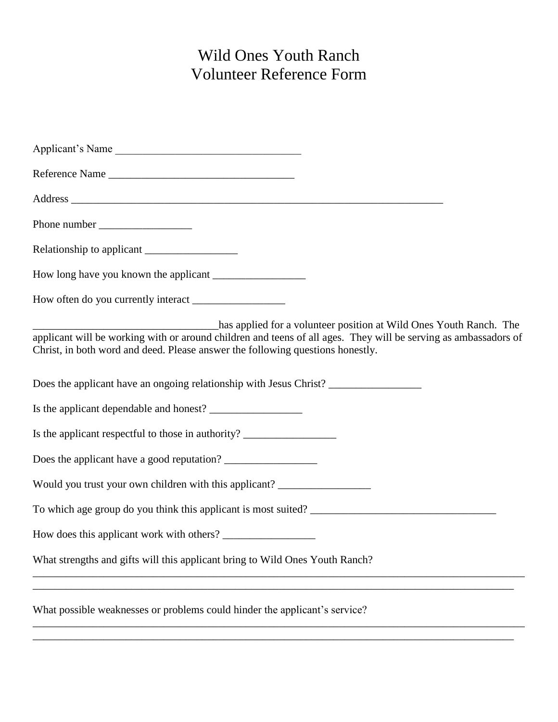## Wild Ones Youth Ranch Volunteer Reference Form

| Applicant's Name                                                                                                                                                                                                                                                        |
|-------------------------------------------------------------------------------------------------------------------------------------------------------------------------------------------------------------------------------------------------------------------------|
| Reference Name                                                                                                                                                                                                                                                          |
|                                                                                                                                                                                                                                                                         |
|                                                                                                                                                                                                                                                                         |
|                                                                                                                                                                                                                                                                         |
|                                                                                                                                                                                                                                                                         |
|                                                                                                                                                                                                                                                                         |
| has applied for a volunteer position at Wild Ones Youth Ranch. The<br>applicant will be working with or around children and teens of all ages. They will be serving as ambassadors of<br>Christ, in both word and deed. Please answer the following questions honestly. |
| Does the applicant have an ongoing relationship with Jesus Christ?                                                                                                                                                                                                      |
|                                                                                                                                                                                                                                                                         |
| Is the applicant respectful to those in authority? _____________________________                                                                                                                                                                                        |
| Does the applicant have a good reputation?                                                                                                                                                                                                                              |
| Would you trust your own children with this applicant? _________________________                                                                                                                                                                                        |
|                                                                                                                                                                                                                                                                         |
| How does this applicant work with others?                                                                                                                                                                                                                               |
| What strengths and gifts will this applicant bring to Wild Ones Youth Ranch?                                                                                                                                                                                            |
| What possible weaknesses or problems could hinder the applicant's service?                                                                                                                                                                                              |
|                                                                                                                                                                                                                                                                         |